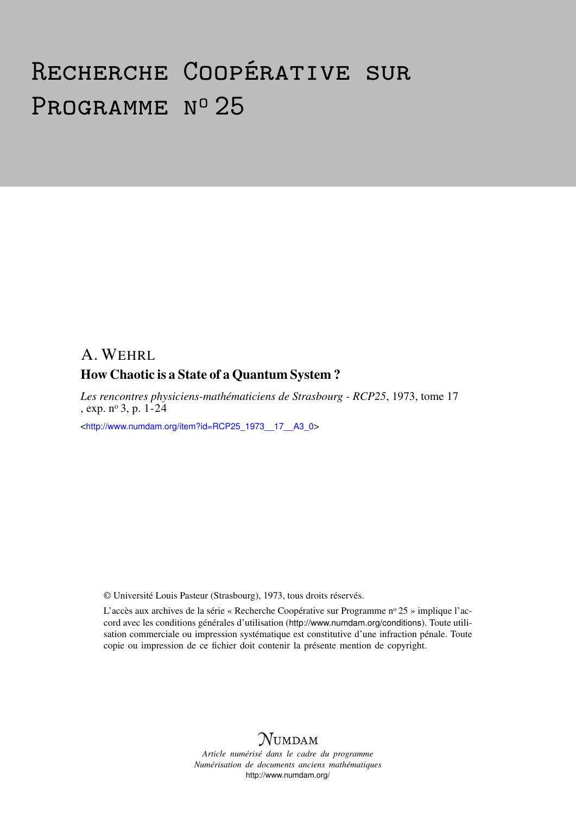# Recherche Coopérative sur PROGRAMME Nº 25

## A. WEHRL How Chaotic is a State of a Quantum System ?

*Les rencontres physiciens-mathématiciens de Strasbourg - RCP25*, 1973, tome 17 , exp. n<sup>o</sup> 3, p. 1-24

<[http://www.numdam.org/item?id=RCP25\\_1973\\_\\_17\\_\\_A3\\_0](http://www.numdam.org/item?id=RCP25_1973__17__A3_0)>

© Université Louis Pasteur (Strasbourg), 1973, tous droits réservés.

L'accès aux archives de la série « Recherche Coopérative sur Programme nº 25 » implique l'accord avec les conditions générales d'utilisation (<http://www.numdam.org/conditions>). Toute utilisation commerciale ou impression systématique est constitutive d'une infraction pénale. Toute copie ou impression de ce fichier doit contenir la présente mention de copyright.



*Article numérisé dans le cadre du programme Numérisation de documents anciens mathématiques* <http://www.numdam.org/>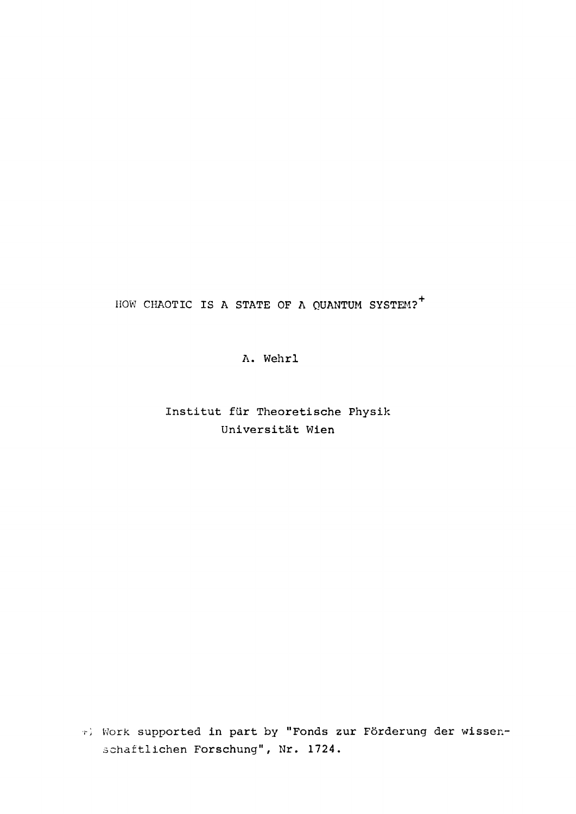HOW CHAOTIC IS A STATE OF A QUANTUM SYSTEM?<sup>+</sup>

A. Wehrl

Institut für Theoretische Physik Universität Wien

*r)* Work supported in part by "Fonds zur Förderung der wissenschaftlichen Forschung", Nr. 1724.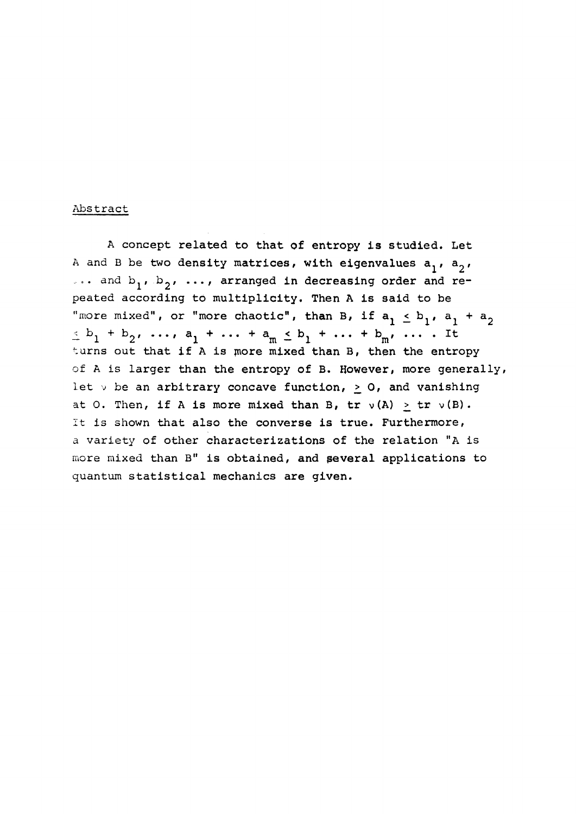#### Abstract

A concept related to that of entropy is studied. Let A and B be two density matrices, with eigenvalues  $a_1$ ,  $a_2$ , ... and  $b_1$ ,  $b_2$ , ..., arranged in decreasing order and repeated according to multiplicity. Then A is said to be "more mixed", or "more chaotic", than B, if  $a_1 \leq b_1$ ,  $a_1 + a_2$  $\leq b_1 + b_2$ , ...,  $a_1 + \ldots + a_m \leq b_1 + \ldots + b_m$ , .... It turns out that if A is more mixed than B, then the entropy of A is larger than the entropy of B. However, more generally, let  $\vee$  be an arbitrary concave function,  $> 0$ , and vanishing at O. Then, if A is more mixed than B,  $tr \nu(A) > tr \nu(B)$ . It is shown that also the converse is true. Furthermore, a variety of other characterizations of the relation "A is more mixed than B" is obtained, and several applications to quantum statistical mechanics are given.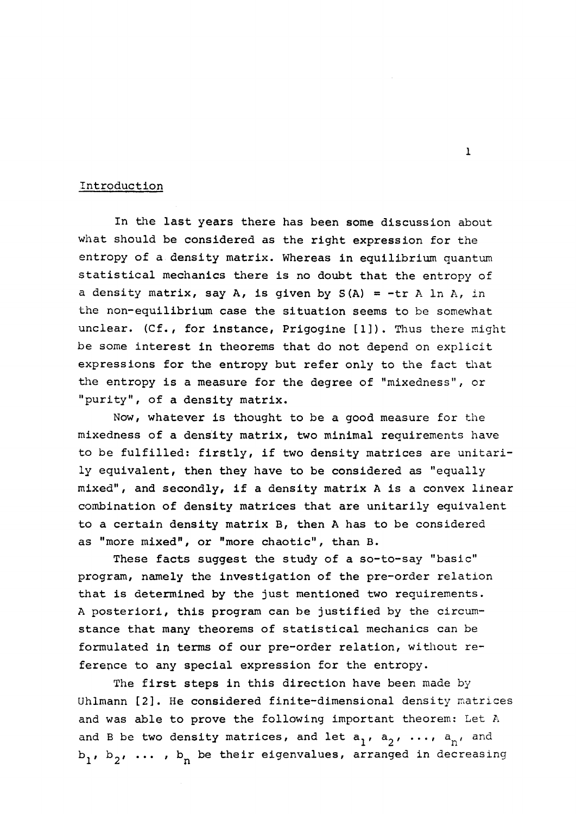#### Introduction

In the last years there has been some discussion about what should be considered as the right expression for the entropy of a density matrix. Whereas in equilibrium quantum statistical mechanics there is no doubt that the entropy of a density matrix, say A, is given by  $S(A) = -tr A ln A$ , in the non-equilibrium case the situation seems to be somewhat unclear. (Cf., for instance, Prigogine [1]). Thus there might be some interest in theorems that do not depend on explicit expressions for the entropy but refer only to the fact that the entropy is a measure for the degree of "mixedness", or "purity", of a density matrix.

Now, whatever is thought to be a good measure for the mixedness of a density matrix, two minimal requirements have to be fulfilled: firstly, if two density matrices are unitarily equivalent, then they have to be considered as "equally mixed", and secondly, if a density matrix A is a convex linear combination of density matrices that are unitarily equivalent to a certain density matrix B, then A has to be considered as "more mixed", or "more chaotic", than B.

These facts suggest the study of a so-to-say "basic" program, namely the investigation of the pre-order relation that is determined by the just mentioned two requirements. A posteriori, this program can be justified by the circumstance that many theorems of statistical mechanics can be formulated in terms of our pre-order relation, without reference to any special expression for the entropy.

The first steps in this direction have been made by Uhlmann [2]. He considered finite-dimensional density matrices and was able to prove the following important theorem: Let A and B be two density matrices, and let  $a_1$ ,  $a_2$ , ...,  $a_n$ , and  $b_1$ ,  $b_2$ , ...,  $b_n$  be their eigenvalues, arranged in decreasing

1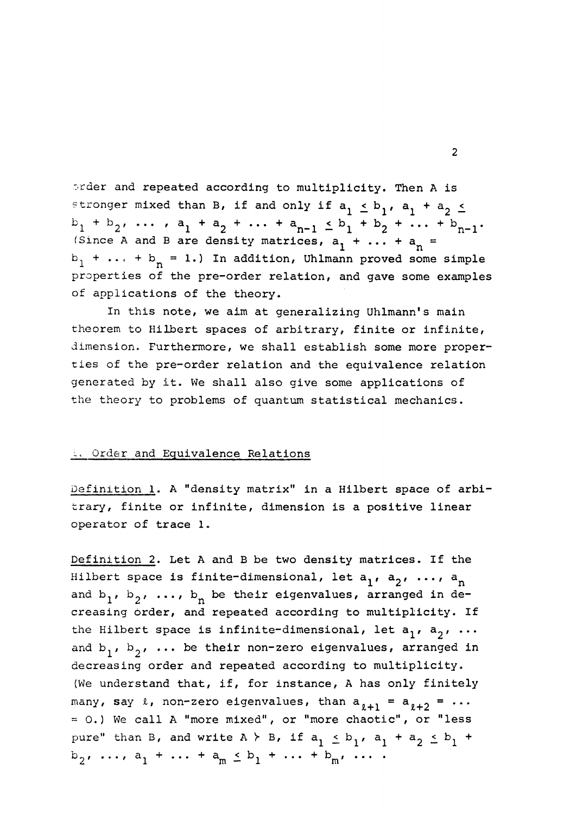order and repeated according to multiplicity. Then A is stronger mixed than B, if and only if  $a^1$   $\leq$   $b^1$ ,  $a^1$  +  $a^2$  $b_1 + b_2$ , ... ,  $a_1 + a_2 + \ldots + a_{n-1} \le b_1 + b_2 + \ldots + b_{n-1}$ . (Since A and B are density matrices,  $a_1^2 + \ldots + a_n^2 =$ (Since A and B are density matrices, a,  $\mathbf{m}$ aition, unimann proved som properties of the pre-order relation, and gave some examples of applications of the theory.

In this note, we aim at generalizing Uhlmann's main theorem to Hilbert spaces of arbitrary, finite or infinite, dimension. Furthermore, we shall establish some more properties of the pre-order relation and the equivalence relation generated by it. We shall also give some applications of the theory to problems of quantum statistical mechanics.

#### *i* Order and Equivalence Relations

Definition 1. A "density matrix" in a Hilbert space of arbitrary, finite or infinite, dimension is a positive linear operator of trace 1.

Definition 2. Let A and B be two density matrices. If the Hilbert space is finite-dimensional, let  $a_1$ ,  $a_2$ , ...,  $a_n$ and b<sub>1</sub>, b<sub>2</sub>, ..., b<sub>n</sub> be their eigenvalues, arranged in decreasing order, and repeated according to multiplicity. If the Hilbert space is infinite-dimensional, let  $a_1$ ,  $a_2$ , ... and  $b_1$ ,  $b_2$ , ... be their non-zero eigenvalues, arranged in decreasing order and repeated according to multiplicity. (We understand that, if, for instance, A has only finitely many, say  $\ell$ , non-zero eigenvalues, than  $a_{\ell+1} = a_{\ell+2} = \cdots$ =0. ) We call A "more mixed", or "more chaotic", or "less pure" than B, and write A  $\succ$  B, if  $a_j \leq b_j$ ,  $a_j + a_j \leq b$  $b_2, \ldots, a_1 + \ldots + a_m \leq b_1 + \ldots + b_m, \ldots$ . 2 **1 m**  $\frac{1}{2}$  m  $\frac{1}{2}$  m  $\frac{1}{2}$  m  $\frac{1}{2}$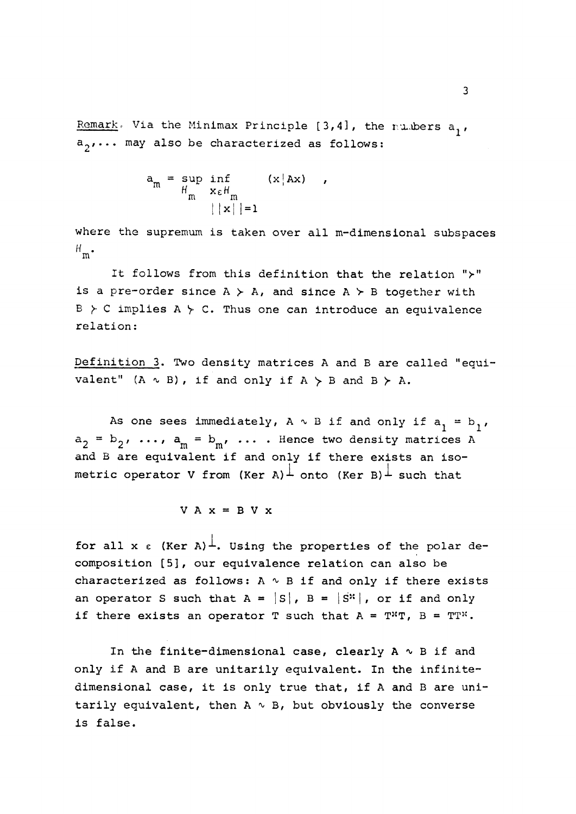Remark, Via the Minimax Principle  $[3,4]$ , the rumbers a,,  $a_2, \ldots$  may also be characterized as follows:

$$
a_m = \sup_{H_m} \inf_{\substack{x \in H_m \\ ||x|| = 1}} (x | Ax),
$$

m,

where the supremum is taken over all m-dimensional subspaces  $H_{m}$ .

It forrows from this definition dual die feracion. is a pre-order since  $A \succ A$ , and since  $A \succ B$  together with  $B \gt C$  implies  $A \gt C$ . Thus one can introduce an equivalence relation:

Definition 3, Two density matrices A and B are called "equivalent"  $(A \sim B)$ , if and only if  $A > B$  and  $B > A$ .

As one sees immediately,  $A \sim B$  if and only if  $a^2 = b^2$ .  $a_2 = b_2$ , ...,  $a_m = b_m$ , ... . Hence two density matrices A and B are equivalent if and only if there exists an isometric operator V from (Ker A)<sup> $\perp$ </sup> onto (Ker B)<sup> $\perp$ </sup> such that

$$
V A x = B V x
$$

for all x  $\epsilon$  (Ker A)<sup>1</sup>. Using the properties of the polar decomposition [5], our equivalence relation can also be characterized as follows:  $A \sim B$  if and only if there exists an operator S such that  $A = |S|$ ,  $B = |S^*|$ , or if and only if there exists an operator T such that  $A = T^*T$ ,  $B = TT^*.$ 

In the finite-dimensional case, clearly  $A \sim B$  if and only if A and B are unitarily equivalent. In the infinitedimensional case, it is only true that, if A and B are unitarily equivalent, then  $A \sim B$ , but obviously the converse is false.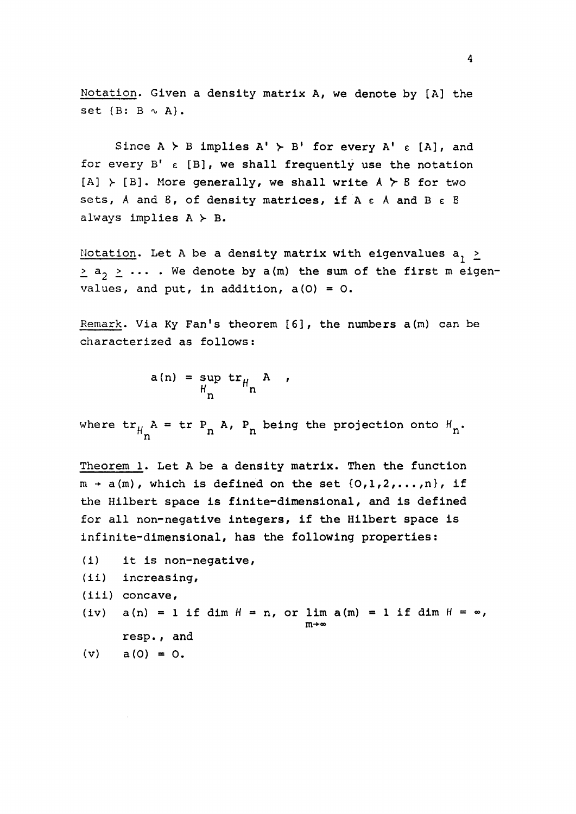Notation. Given a density matrix A, we denote by [A] the set  $\{B: B \sim A\}$ .

Since  $A \gt B$  implies  $A' \gt B'$  for every  $A' \in [A]$ , and for every  $B' \in [B]$ , we shall frequently use the notation  $[A] \rightarrow [B]$ . More generally, we shall write  $A \succ B$  for two sets, A and B, of density matrices, if A e A and B *e* B always implies  $A \succ B$ .

Notation. Let A be a density matrix with eigenvalues  $a^2$  $\geq$  a<sub>2</sub>  $\geq$   $\cdots$  . We denote by a(m) the sum of the first m eigenvalues, and put, in addition,  $a(0) = 0$ .

Remark. Via Ky Fan's theorem [6], the numbers a(m) can be characterized as follows:

$$
a(n) = \sup_{H_n} tr_{H_n} A ,
$$

where  $tr_{\mu}$  A =  $tr P_n$  A,  $P_n$  being the projection onto  $H_n$ .  $\mathbf{h}$  n  $\mathbf{h}$   $\mathbf{h}$   $\mathbf{h}$   $\mathbf{h}$   $\mathbf{h}$   $\mathbf{h}$   $\mathbf{h}$   $\mathbf{h}$   $\mathbf{h}$   $\mathbf{h}$   $\mathbf{h}$   $\mathbf{h}$   $\mathbf{h}$   $\mathbf{h}$   $\mathbf{h}$   $\mathbf{h}$   $\mathbf{h}$   $\mathbf{h}$   $\mathbf{h}$   $\mathbf{h}$   $\mathbf{h}$   $\mathbf{h}$   $\mathbf{h}$   $\math$ 

Theorem 1. Let A be a density matrix. Then the function  $m + a(m)$ , which is defined on the set  ${0,1,2,...,n}$ , if the Hilbert space is finite-dimensional, and is defined for all non-negative integers, if the Hilbert space is infinite-dimensional, has the following properties:

(i) it is non-negative, (ii) increasing, (iii) concave, (iv)  $a(n) = 1$  if dim  $H = n$ , or lim  $a(m) = 1$  if dim  $H = \infty$ ,  $m+\infty$ resp., and  $(v)$  a(0) = 0.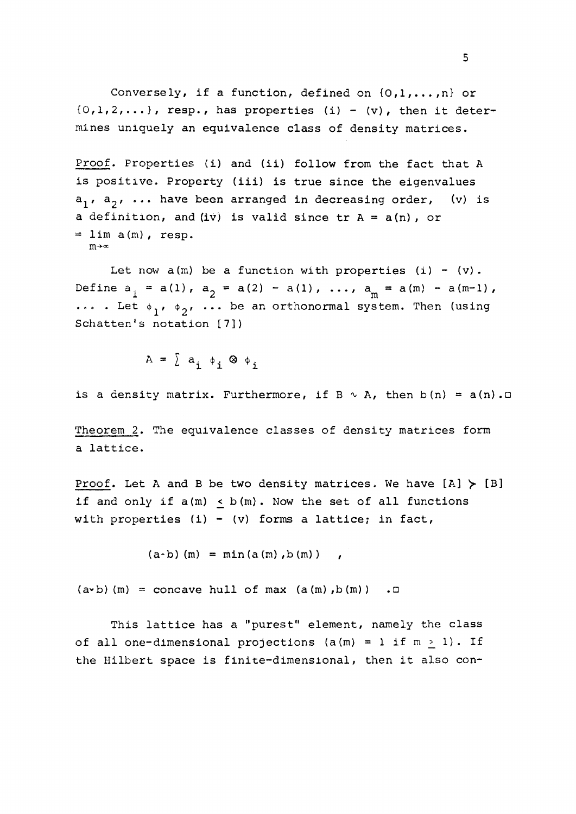Conversely, if a function, defined on  $\{0,1,\ldots,n\}$  or  ${0,1,2,...}$ , resp., has properties (i) - (v), then it determines uniquely an equivalence class of density matrices.

Proof. Properties (i) and (ii) follow from the fact that A is positive. Property (iii) is true since the eigenvalues  $a_1$ ,  $a_2$ , ... have been arranged in decreasing order, (v) is a definition, and (iv) is valid since  $tr A = a(n)$ , or  $=$  lim  $a(m)$ , resp. m+«

Let now  $a(m)$  be a function with properties (i) - (v). Define  $a_{i} = a(l)$ ,  $a_{2} = a(2) - a(l)$ , ...,  $a_{m} = a(m) - a(m-1)$ ,  $\cdots$  . Let  $\phi_1$ ,  $\phi_2$ , ... be an orthonormal system. Then (using Schatten's notation [7])

 $A = \sum a_i \phi_i \otimes \phi_i$ 

is a density matrix. Furthermore, if  $B \sim A$ , then  $b(n) = a(n)$ .

Theorem 2. The equivalence classes of density matrices form a lattice.

Proof. Let A and B be two density matrices. We have  $[A] \succ [B]$ if and only if  $a(m) \leq b(m)$ . Now the set of all functions with properties  $(i) - (v)$  forms a lattice; in fact,

 $(a - b)$  (m) = min  $(a (m)$ , b (m))

 $(a \cdot b)$  (m) = concave hull of max  $(a(m), b(m))$ .

This lattice has a "purest" element, namely the class of all one-dimensional projections (a(m) = 1 if  $m > 1$ ). If the Hilbert space is finite-dimensional, then it also con-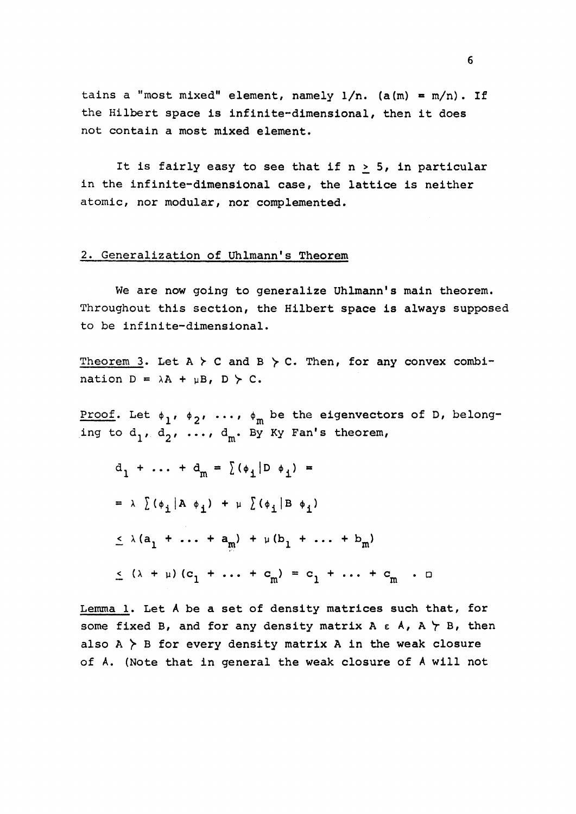tains a "most mixed" element, namely  $1/n$ . (a(m) = m/n). If the Hilbert space is infinite-dimensional, then it does not contain a most mixed element.

It is fairly easy to see that if  $n > 5$ , in particular in the infinite-dimensional case, the lattice is neither atomic, nor modular, nor complemented.

#### 2. Generalization of Uhlmann's Theorem

We are now going to generalize Uhlmann's main theorem. Throughout this section, the Hilbert space is always supposed to be infinite-dimensional.

Theorem 3. Let  $A \nightharpoonup C$  and  $B \nightharpoonup C$ . Then, for any convex combination  $D = \lambda A + \mu B$ ,  $D \succ C$ .

Proof. Let  $\phi_1$ ,  $\phi_2$ , ...,  $\phi_m$  be the eigenvectors of D, belonging to  $d_1$ ,  $d_2$ , ...,  $d_m$ . By Ky Fan's theorem,

$$
d_1 + \dots + d_m = \sum (\phi_1 | D \phi_1) =
$$
  
\n
$$
= \lambda \sum (\phi_i | A \phi_i) + \mu \sum (\phi_i | B \phi_1)
$$
  
\n
$$
\leq \lambda (a_1 + \dots + a_m) + \mu (b_1 + \dots + b_m)
$$
  
\n
$$
\leq (\lambda + \mu) (c_1 + \dots + c_m) = c_1 + \dots + c_m \quad \text{or}
$$

Lemma 1. Let A be a set of density matrices such that, for some fixed B, and for any density matrix  $A \in A$ ,  $A \nrightarrow B$ , then also  $A \nightharpoonup B$  for every density matrix A in the weak closure of A. (Note that in general the weak closure of A will not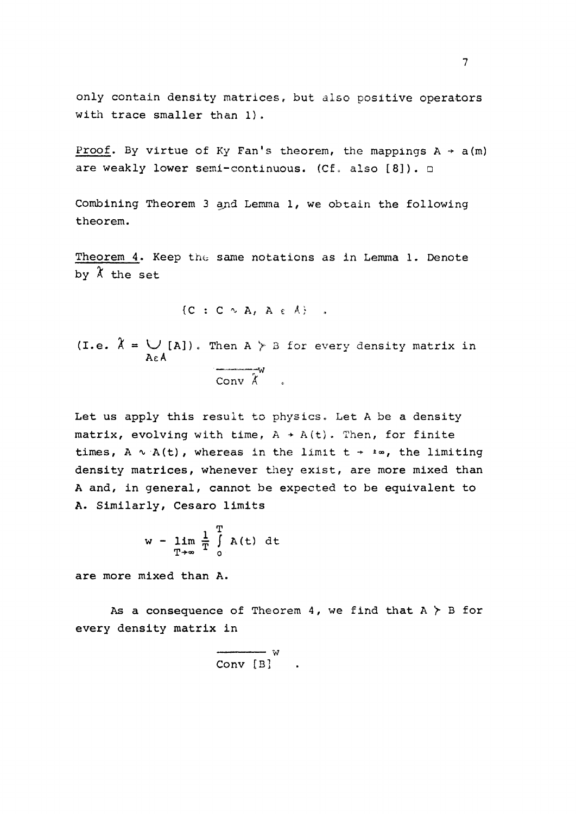only contain density matrices, but also positive operators with trace smaller than 1).

Proof. By virtue of Ky Fan's theorem, the mappings  $A \rightarrow a(m)$ are weakly lower semi-continuous. (Cf. also  $[8]$ ).  $\Box$ 

Combining Theorem 3 and Lemma 1, we obtain the following theorem.

Theorem 4. Keep the same notations as in Lemma 1. Denote by *X* the set

$$
\{C \ : \ C \sim A, \ A \in A\} \quad ,
$$

(I.e.  $\lambda = \bigcup_{\{A\}}$ ). Then  $A \succ B$  for every density matrix in Ae A  $\mathbf w$ Conv *K* 

Let us apply this result to physics. Let A be a density matrix, evolving with time,  $A + A(t)$ . Then, for finite times, A  $\sim$  A(t), whereas in the limit t +  $\pm \infty$ , the limiting density matrices, whenever they exist, are more mixed than A and, in general, cannot be expected to be equivalent to A. Similarly, Cesaro limits

$$
w - \lim_{T \to \infty} \frac{1}{T} \int_{0}^{T} A(t) dt
$$

are more mixed than A.

As a consequence of Theorem 4, we find that  $A \nightharpoonup B$  for every density matrix in

$$
\begin{array}{c}\n\hline\n\hline\n\end{array}
$$
  $\text{Conv} \begin{bmatrix} B \end{bmatrix}$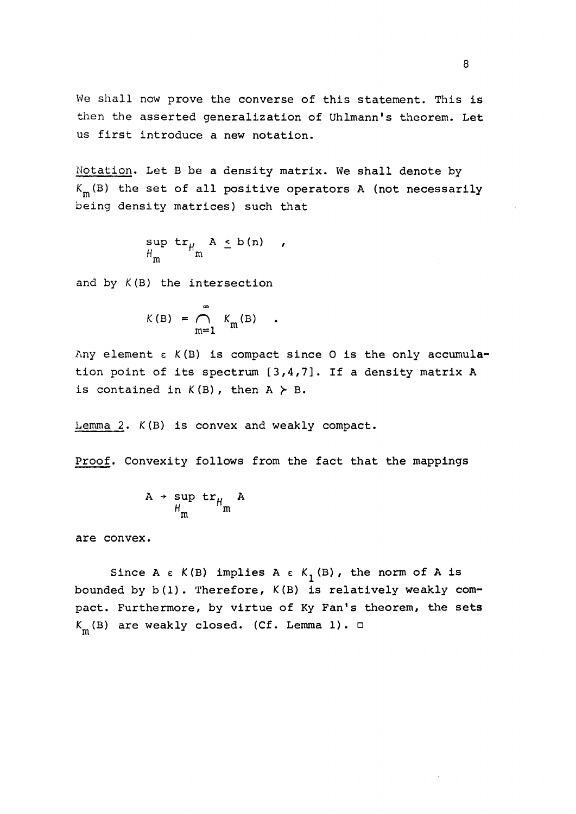We shall now prove the converse of this statement. This is then the asserted generalization of Uhlmann's theorem. Let us first introduce a new notation.

Notation. Let B be a density matrix. We shall denote by  $K_{\mathfrak{m}}(\mathbb{B})$  the set of all positive operators A (not necessarily being density matrices) such that

$$
H_m^{\text{sup}} H_{m}^{\text{max}} \xrightarrow{A \leq b(n)} ,
$$

and by  $K(B)$  the intersection

$$
K(B) = \bigcap_{m=1}^{\infty} K_m(B) .
$$

Any element  $\epsilon$   $K(B)$  is compact since 0 is the only accumulation point of its spectrum [3,4,7]. If a density matrix A is contained in  $K(B)$ , then  $A \succeq B$ .

Lemma 2. *K*(B) is convex and weakly compact.

Proof. Convexity follows from the fact that the mappings

$$
A \rightarrow \sup_{H_m} \text{tr}_{H_m} A
$$

are convex.

Since A  $\epsilon$  K(B) implies A  $\epsilon$  K<sub>1</sub>(B), the norm of A is bounded by b(l). Therefore, K(B) is relatively weakly compact. Furthermore, by virtue of Ky Fan's theorem, the sets  $K_{_{\!\rm I\!R}}({\rm B})$  are weakly closed. (Cf. Lemma 1).  $\Box$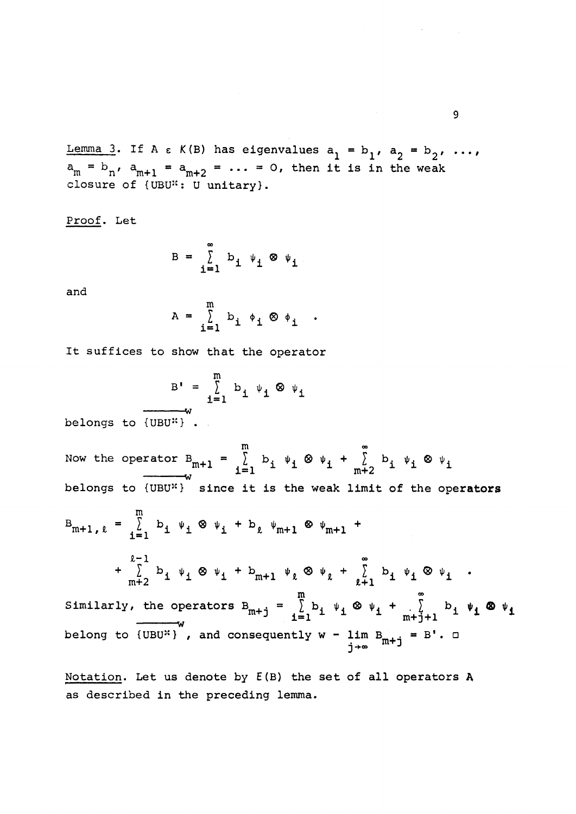Lemma 3. If A  $\epsilon$  K(B) has eigenvalues  $a_1 = b_1$ ,  $a_2 = b_2$ , ...,  $m \sim n'$  and  $m+1$  and  $m+2$  are  $m+2$  in the n independent in the sum closure of {UBU\*: U unitary}.

Proof. Let

$$
B = \sum_{i=1}^{\infty} b_i \psi_i \otimes \psi_i
$$

and

$$
A = \sum_{i=1}^{m} b_i \phi_i \otimes \phi_i .
$$

It suffices to show that the operator

$$
B' = \sum_{i=1}^{m} b_i \psi_i \otimes \psi_i
$$

w belongs to {UBU-} •

m **oo**  Now the operator  $B_{m+1} = \sum b_i \psi_i \otimes \psi_i + \sum b_i \psi_i \otimes \psi_i$  $\frac{1}{1}$   $\frac{1}{1}$   $\frac{1}{1}$   $\frac{1}{1}$   $\frac{1}{1}$   $\frac{1}{1}$   $\frac{1}{1}$   $\frac{1}{1}$   $\frac{1}{1}$   $\frac{1}{1}$   $\frac{1}{1}$   $\frac{1}{1}$   $\frac{1}{1}$   $\frac{1}{1}$   $\frac{1}{1}$   $\frac{1}{1}$   $\frac{1}{1}$   $\frac{1}{1}$   $\frac{1}{1}$   $\frac{1}{1}$   $\frac{1}{1}$   $\frac{1}{1}$  w belongs to  $\mathcal{U}_1$  since it is the weak limit of the weak limit of the operators  $\mathcal{U}_2$ m **i i**<sup>l</sup> **i**<sup>l</sup> **i**<sup>l</sup> **i**<sup>l</sup> **i**  $_{m+2}$   $_{m+1}$   $_{m+1}$   $_{\ell}$   $_{\ell}$   $_{\ell+1}$   $_{\ell}$   $_{\ell+1}$   $_{\ell}$   $_{\ell+1}$   $_{\ell}$   $_{\ell+1}$   $_{\ell}$ m 0 0 Similarly, the operators  $B_{m+1} = \sum b_i \psi_i \otimes \psi_i + \sum c_i \psi_i \otimes \psi_i$ **m i " <sup>J</sup>** i=l 1 1 1 m+j+1 <sup>1</sup> \* <sup>x</sup>  $\ddot{\phantom{1}}$  . belong to  $\mathbb{R}^+$  , and consequently when  $\mathbb{R}^+$  .  $\mathbb{R}^+$  .  $\mathbb{R}^+$  .  $\mathbb{R}^+$  .  $\mathbb{R}^+$  .  $\mathbb{R}^+$  .  $\mathbb{R}^+$  .  $\mathbb{R}^+$  .  $\mathbb{R}^+$  .  $\mathbb{R}^+$  .  $\mathbb{R}^+$  .  $\mathbb{R}^+$  .  $\mathbb{R}^+$  .  $\mathbb{R}$ 

j **-\*co** J

Notation. Let us denote by E(B) the set of all operators A as described in the preceding lemma.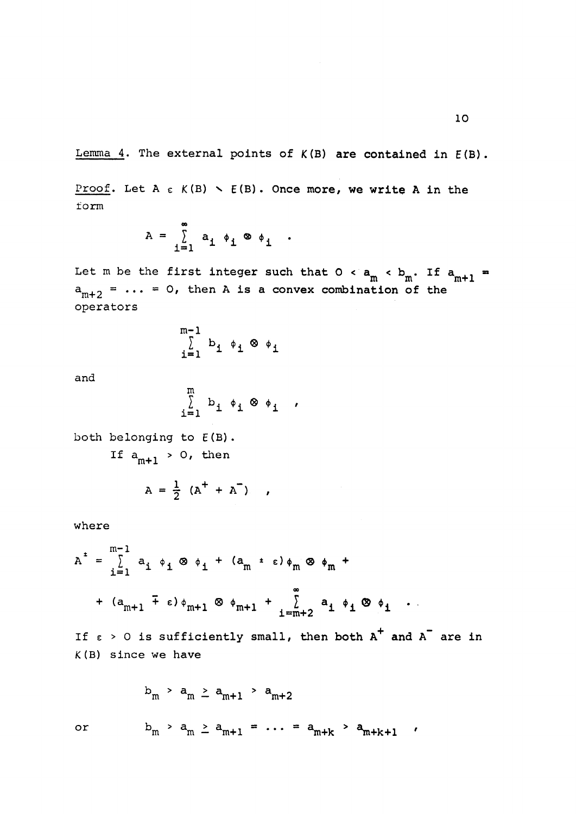Lemma 4. The external points of  $K(B)$  are contained in  $E(B)$ .

Proof. Let A  $\epsilon$  K(B)  $\sim$   $E(B)$ . Once more, we write A in the form

$$
A = \sum_{i=1}^{\infty} a_i \phi_i \otimes \phi_i.
$$

Let m be the first integer such that  $0 < a_m < b_m$ . If  $a_{m+1} =$  $\cdots$   $\cdots$   $\cdots$   $\cdots$  $m+2$   $m+2$ operators

$$
\sum_{i=1}^{m-1} b_i \phi_i \otimes \phi_i
$$

and

$$
\sum_{i=1}^{m} b_i \phi_i \otimes \phi_i ,
$$

both belonging to E(B).

If  $a_{m+1} > 0$ , then

$$
A = \frac{1}{2} (A^+ + A^-)
$$
,

where

$$
A^{\dagger} = \sum_{i=1}^{m-1} a_i \phi_i \otimes \phi_i + (a_m \circ \phi_m \otimes \phi_m + (a_{m+1} \mp \epsilon) \phi_{m+1} \otimes \phi_{m+1} + \sum_{i=m+2}^{\infty} a_i \phi_i \otimes \phi_i
$$

If  $\epsilon > 0$  is sufficiently small, then both  $A^+$  and  $A^-$  are in K(B) since we have

$$
b_m > a_m \ge a_{m+1} > a_{m+2}
$$
  
or  $b_m > a_m \ge a_{m+1} = \dots = a_{m+k} > a_{m+k+1}$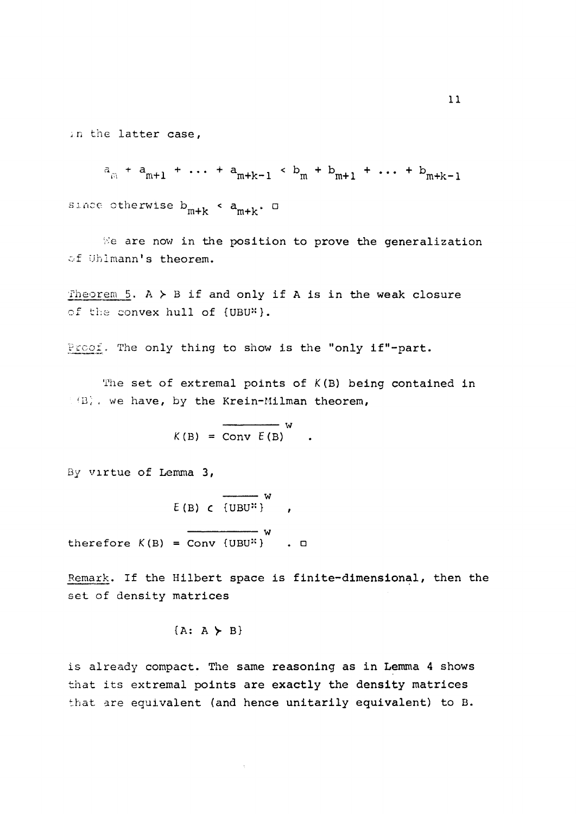in the latter case,

 $a_{m}$  +  $a_{m+1}$  + ... +  $a_{m+k-1}$  <  $b_{m}$  +  $b_{m+1}$  + ... +  $b_{m+k-1}$ since otherwise  $b_{m+k}$  <  $a_{m+k}$ .  $\Box$  $m+ke$  m+k

We are now in the position to prove the generalization of Uhlmann's theorem.

Theorem 5,  $A \gt B$  if and only if A is in the weak closure of the convex hull of {UBU\*}.

Proof. The only thing to show is the "only if"-part.

The set of extremal points of *K(B)* being contained in (B), we have, by the Krein-Milman theorem,

$$
K(B) = \overline{\text{Conv } E(B)}^W
$$

By virtue of Lemma 3,

therefore

$$
E(B) \subset \overline{\text{UBU}^{\mathcal{H}}}
$$
 
$$
K(B) = \overline{\text{Conv} \{UBU^{\mathcal{H}}\}} \qquad \qquad \Box
$$

Remark. If the Hilbert space is finite-dimensional, then the set of density matrices

$$
\{A: A \succ B\}
$$

is already compact. The same reasoning as in Lemma 4 shows that its extremal points are exactly the density matrices that are equivalent (and hence unitarily equivalent) to B.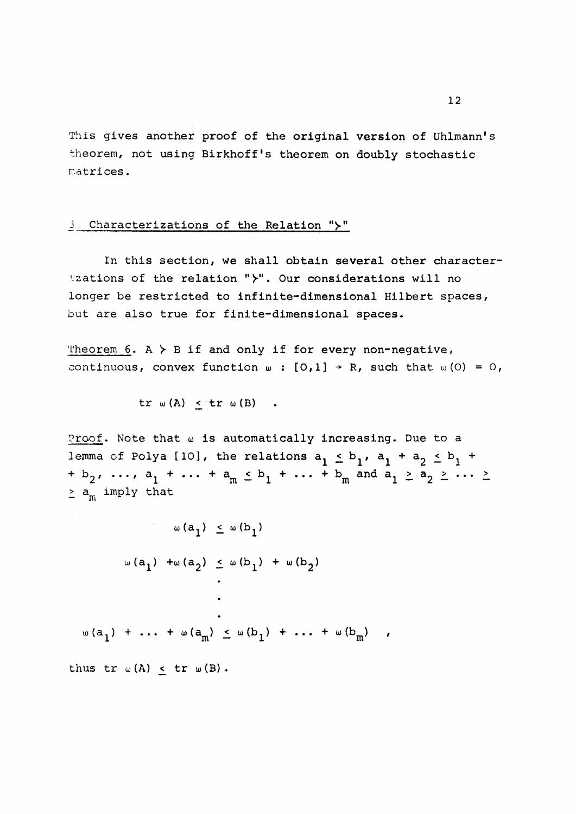This gives another proof of the original version of Uhlmann's theorem, not using Birkhoff's theorem on doubly stochastic matrices.

#### 3. Characterizations of the Relation ">"

In this section, we shall obtain several other characterizations of the relation " $\succ$ ". Our considerations will no longer be restricted to infinite-dimensional Hilbert spaces, but are also true for finite-dimensional spaces.

Theorem 6. A  $>$  B if and only if for every non-negative, continuous, convex function  $\omega$  :  $[0,1]$  + R, such that  $\omega(0) = 0$ ,

$$
\text{tr } \omega (A) \leq \text{tr } \omega (B) \qquad .
$$

Proof. Note that  $\omega$  is automatically increasing. Due to a lemma of Polya [10], the relations  $a_1 \leq b_1$ ,  $a_1 + a_2 \leq b$ . + b<sub>2</sub>, ..., a<sub>1</sub> + ... + a<sub>m</sub>  $\leq$  b<sub>1</sub> + ... + b<sub>m</sub> and a<sub>1</sub>  $\geq$  a<sub>2</sub>  $\geq$  ...  $\geq$ *z* 1 m  $\frac{1}{2}$  1 m  $\frac{1}{2}$   $\frac{1}{2}$  1  $\frac{1}{2}$  $\geq$  a<sub>m</sub> imply that

$$
\omega(a_1) \leq \omega(b_1)
$$
  
\n
$$
\omega(a_1) + \omega(a_2) \leq \omega(b_1) + \omega(b_2)
$$
  
\n...  
\n...  
\n
$$
\omega(a_1) + \dots + \omega(a_m) \leq \omega(b_1) + \dots + \omega(b_m)
$$
  
\nthus tr  $\omega(A) \leq tr \omega(B)$ .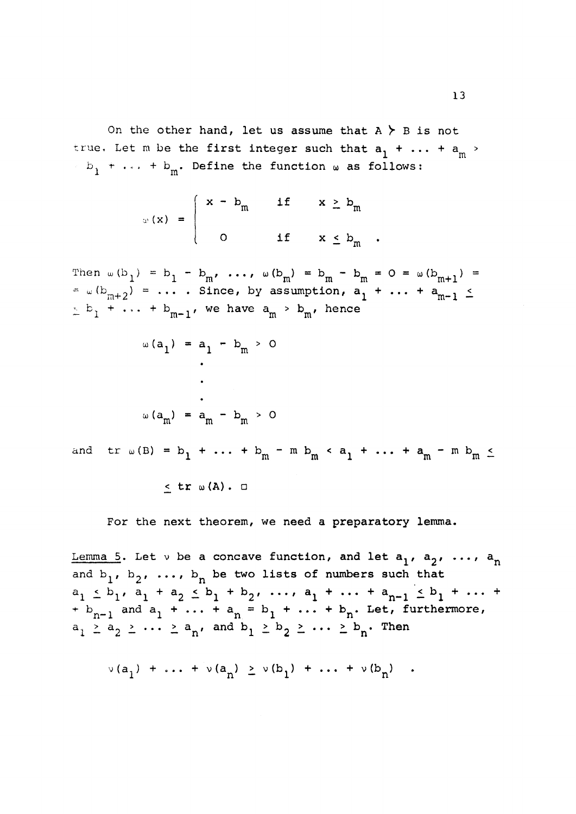On the other hand, let us assume that A *y* B is not true. Let m be the first integer such that  $a_1 + \ldots + a_m$  $\frac{1}{10}$  m **<sup>b</sup>** *•+\** . . . + b . Define the function c\*> as follows:

$$
\omega(x) = \begin{cases} x - b_m & \text{if } x \geq b_m \\ 0 & \text{if } x \leq b_m \end{cases}
$$

Then  $w(b_1) = b_1 - b_m$ , ...,  $w(b_m) = b_m - b_m = 0 = w(b_{m+1}) =$  $\lambda = \omega (b_{m+2}^+) = \ldots$  . Since, by assumption,  $a_1^+ + \ldots + a_{m-1}^- \leq$  $\leq$   $\frac{b}{1}$  **+** ... +  $\frac{b}{m-1}$ , we have  $a_m > b_m$ , hence

^ — m

$$
\omega(a_1) = a_1 - b_m > 0
$$
  
\n
$$
\vdots
$$
  
\n
$$
\omega(a_m) = a_m - b_m > 0
$$
  
\nand tr  $\omega(B) = b_1 + \dots + b_m - m b_m < a_1 + \dots + a_m - m b_m \le$   
\n
$$
\le tr \omega(A) \cdot \square
$$

For the next theorem, we need a preparatory lemma.

<u>Lemma 5</u>. Let  $\vee$  be a concave function, and let  $a_1$ ,  $a_2$ , ...,  $a_n$ and  $b_1$ ,  $b_2$ , ...,  $b_n$  be two lists of numbers such that  $a_1 \leq b_1$ ,  $a_1 + a_2 \leq b_1 + b_2$ ,  $\ldots$ ,  $a_1 + \ldots + a_{n-1} \leq b_1 + \ldots$  $+$   $b_{n-1}$  and  $a_1$   $+ \ldots + a_n$  =  $b_1$   $+ \ldots + b_n$ . Let, furthermore,  $a_1 \geq a_2 \geq \cdots \geq a_n$ , and  $b_1 \geq b_2 \geq \cdots \geq b_n$ . Then

$$
\nu(a_1) + \ldots + \nu(a_n) \ge \nu(b_1) + \ldots + \nu(b_n)
$$
.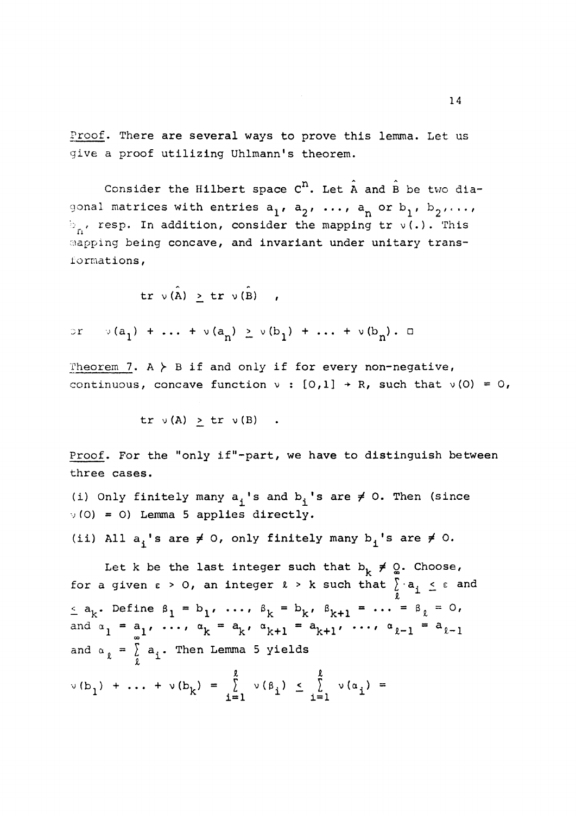Proof. There are several ways to prove this lemma. Let us give a proof utilizing Uhlmann's theorem.

Consider the Hilbert space  $C<sup>n</sup>$ . Let A and B be two diagonal matrices with entries  $a_1, a_2, ..., a_n$  or  $b_1, b_2, ...,$  $b_n$ , resp. In addition, consider the mapping tr v(.). This Bapping being concave, and invariant under unitary transformations,

 $\operatorname{tr} \ v(\hat{A}) \geq \operatorname{tr} v(\hat{B})$ ,

 $or \quad v(a_1) + \ldots + v(a_n) \ge v(b_1) + \ldots + v(b_n)$ .  $\Box$ 

Theorem 7.  $A \nightharpoonup B$  if and only if for every non-negative, continuous, concave function  $v : [0,1] \rightarrow R$ , such that  $v(0) = 0$ ,

 $tr \ v(A) > tr \ v(B)$ .

Proof. For the "only if"-part, we have to distinguish between three cases.

(i) Only finitely many  $a_i$ 's and  $b_i$ 's are  $\neq$  0. Then (since **v**(0) **a** O) Lemma 5 applies directly.

(ii) All  $a_i$ 's are  $\neq 0$ , only finitely many  $b_i$ 's are  $\neq 0$ .

Let k be the last integer such that  $b_k \neq Q$ . Choose, for a given  $\varepsilon > 0$ , an integer  $l > k$  such that  $\sum_{\ell} a_i \leq \varepsilon$  and  $\leq$  a<sub>k</sub>. Define  $\beta_1 = b_1$ , ...,  $\beta_k = b_k$ ,  $\beta_{k+1} = \ldots = \beta_{\ell} = 0$ , and  $\alpha_1 = \alpha_1, \ldots, \alpha_k = \alpha_k, \alpha_{k+1} = \alpha_{k+1}, \ldots, \alpha_{k-1} = \alpha_{k-1}$ ∞ <sup>→</sup> and a = *I a..* Then Lemma 5 yields *I 1* 

 $\nabla(\mathbf{b}_1) + \ldots + \nabla(\mathbf{b}_k) = \sum_{i=1}^{k} \nabla(\mathbf{\beta}_i) \leq \sum_{i=1}^{k} \nabla(\mathbf{\alpha}_i) = 1$  $\mathbf{i} = 1$   $\mathbf{i} = 1$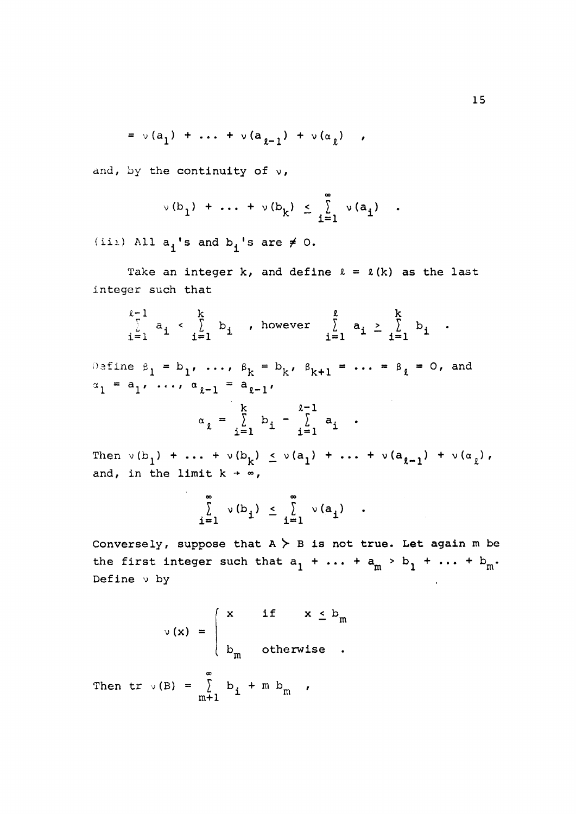$$
= \nu(a_1) + \ldots + \nu(a_{\ell-1}) + \nu(a_{\ell}) ,
$$

and, by the continuity of  $v$ ,

$$
\vee(b_1) + \ldots + \vee(b_k) \leq \sum_{i=1}^{\infty} \vee(a_i)
$$

**iii**) All  $a^{\dagger}$ **s** and  $b^{\dagger}$ **s** are  $\neq 0$ .

Take an integer  $k$ , and define  $l = l(k)$  as the last integer such that

$$
\sum_{i=1}^{\ell-1} a_i \leftarrow \sum_{i=1}^k b_i, \text{ however } \sum_{i=1}^{\ell} a_i \geq \sum_{i=1}^k b_i.
$$

Define  $\beta_1 = b_1, ..., \beta_k = b_k, \beta_{k+1} = ... = \beta_{\ell} = 0,$  and  $a_1$   $a_1$ ,  $\dots$ ,  $a_{\ell-1}$   $a_{\ell-1}$ 

$$
x_{\ell} = \sum_{i=1}^{k} b_i - \sum_{i=1}^{\ell-1} a_i
$$

Then  $v(b_1) + \ldots + v(b_k) \le v(a_1) + \ldots + v(a_{k-1}) + v(a_k)$ , and, in the limit  $k \rightarrow \infty$ ,

$$
\sum_{i=1}^{\infty} v(b_i) \leq \sum_{i=1}^{\infty} v(a_i) .
$$

Conversely, suppose that  $A \gt B$  is not true. Let again m be the first integer such that  $a^1 + \cdots + a^m > b^1 + \cdots + b^m$ . Define v by

$$
\nu(x) = \begin{cases} x & \text{if } x \leq b_m \\ b_m & \text{otherwise} \end{cases}
$$

00 Then  $\mathsf{t}$  v(b) =  $\int_{\mathsf{m}+1}$  b  $\mathsf{t}$  +  $\mathsf{m}$  b  $\mathsf{m}$  ,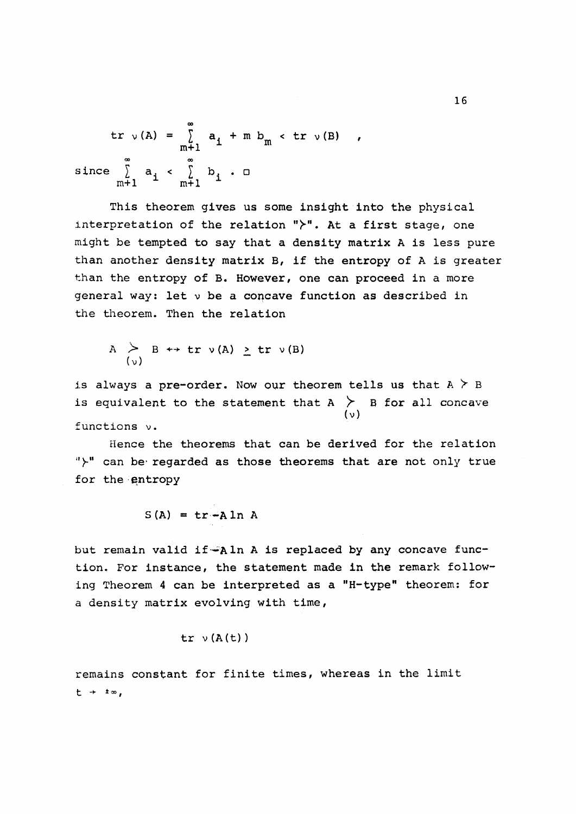$$
tr \ v(A) = \sum_{m+1}^{\infty} a_1 + m b_m < tr \ v(B)
$$
  
since 
$$
\sum_{m+1}^{\infty} a_1 < \sum_{m+1}^{\infty} b_1 \cdot \Box
$$

This theorem gives us some insight into the physical interpretation of the relation " $\rangle$ ". At a first stage, one might be tempted to say that a density matrix A is less pure than another density matrix B, if the entropy of A is greater than the entropy of B. However, one can proceed in a more general way: let v be a concave function as described in the theorem. Then the relation

$$
A \geq B \leftrightarrow \text{tr } \nu(A) \geq \text{tr } \nu(B)
$$

is always a pre-order. Now our theorem tells us that  $A \nmid B$ is equivalent to the statement that A  $>$  B for all concave (v) functions  $\nu$ .<br>**Hence the theorems that can be derived for the relation** 

Hence the theorems that can be derived for the relation f can be regarded as those dicoroms that are not only true for the entropy

$$
S(A) = tr - A ln A
$$

but remain valid if  $A \ln A$  is replaced by any concave function. For instance, the statement made in the remark following Theorem 4 can be interpreted as a "H-type" theorem: for a density matrix evolving with time,

$$
\mathtt{tr}\;\; \mathtt{v}\; (\mathtt{A}\,(\mathtt{t})\,)
$$

remains constant for finite times, whereas in the limit  $t + \pm \infty$ ,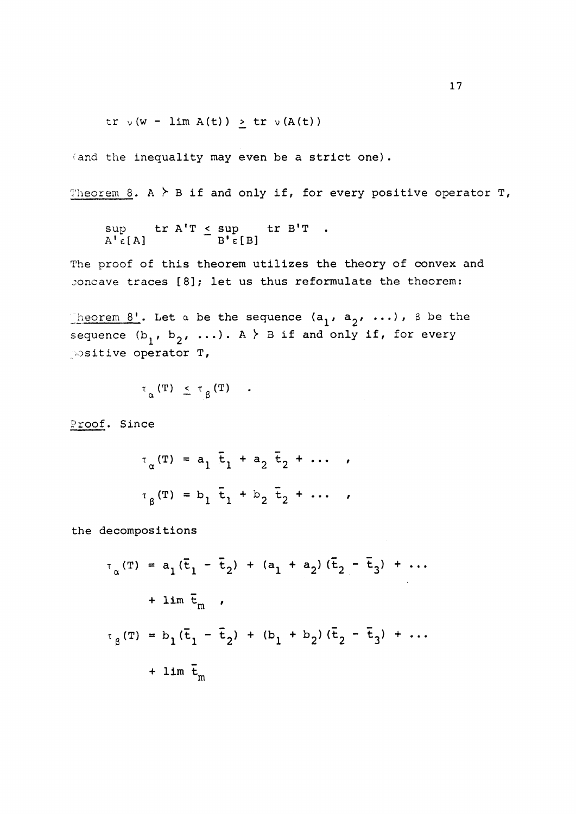tr  $\vee$  (w - lim A(t))  $\ge$  tr  $\vee$ (A(t))

(and the inequality may even be a strict one).

Theorem  $8.$  A  $\geq$  B if and only if, for every positive operator T,

$$
\sup_{A' \in [A]} \text{tr } A'T \leq \sup_{B' \in [B]} \text{tr } B'T.
$$

The proof of this theorem utilizes the theory of convex and concave traces [8]; let us thus reformulate the theorem:

Theorem 8'. Let a be the sequence  $(a^1, a^2, \ldots)$ ,  $\beta$  be the sequence  $(b_1, b_2, \ldots)$ . A  $\overline{\phantom{a}}$  B if and only if, for every positive operator T,

 $\tau_{\alpha}$  (T)  $\leq \tau_{\alpha}$  (T)  $\ldots$ 

 $\overline{a}$   $\overline{b}$ 

Proof. Since

$$
\tau_{\alpha}(\mathbf{T}) = a_1 \bar{t}_1 + a_2 \bar{t}_2 + \cdots ,
$$
  
 $\tau_{\beta}(\mathbf{T}) = b_1 \bar{t}_1 + b_2 \bar{t}_2 + \cdots ,$ 

the decompositions

$$
\tau_{\alpha}(T) = a_1(\bar{t}_1 - \bar{t}_2) + (a_1 + a_2)(\bar{t}_2 - \bar{t}_3) + \cdots
$$
  
+ 
$$
\lim \bar{t}_m
$$
  

$$
\tau_{\beta}(T) = b_1(\bar{t}_1 - \bar{t}_2) + (b_1 + b_2)(\bar{t}_2 - \bar{t}_3) + \cdots
$$
  
+ 
$$
\lim \bar{t}_m
$$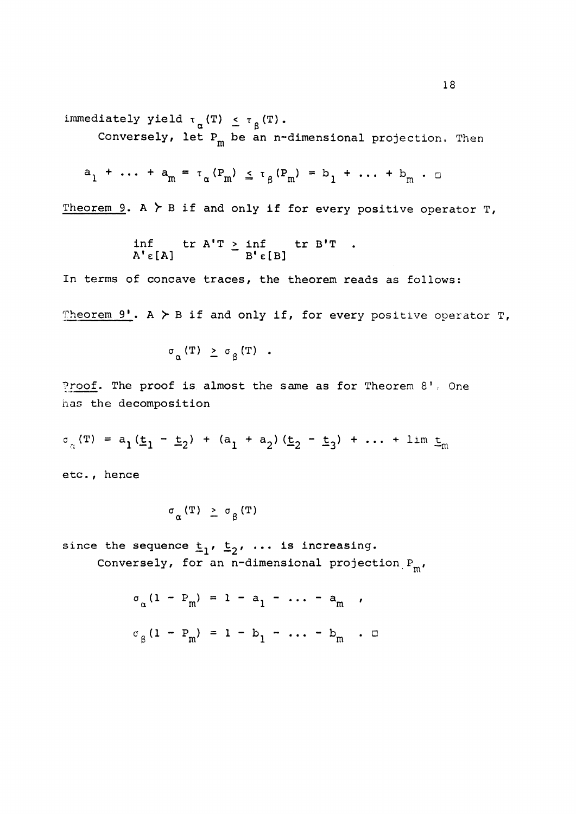immediately yield  $\tau_{\alpha}$ (T)  $\leq \tau_{\beta}$ (T).

Conversely, let  $P_m$  be an n-dimensional projection. Then

$$
a_1
$$
 + ... +  $a_m$  =  $\tau_{\alpha}$ ( $P_m$ )  $\leq \tau_{\beta}$ ( $P_m$ ) =  $b_1$  + ... +  $b_m$ .

Theorem 9. A  $\succ$  B if and only if for every positive operator T,

$$
\inf_{A^{\dagger} \in [A]} \text{tr } A^{\dagger}T \geq \inf_{B^{\dagger} \in [B]} \text{tr } B^{\dagger}T.
$$

m

In terms of concave traces, the theorem reads as follows: Theorem  $9'$ . A  $>$  B if and only if, for every positive operator T,

$$
\sigma_{\alpha} (T) \geq \sigma_{\beta} (T) .
$$

Proof. The proof is almost the same as for Theorem 8'. One has the decomposition

$$
\sigma_{\alpha}(\mathbf{T}) = a_1(\underline{t}_1 - \underline{t}_2) + (a_1 + a_2)(\underline{t}_2 - \underline{t}_3) + \dots + \lim_{m \to \infty}
$$

etc., hence

$$
\sigma_{\alpha}(\mathbf{T}) \geq \sigma_{\beta}(\mathbf{T})
$$

since the sequence  $t_1$ ,  $t_2$ , ... is increasing. Conversely, for an n-dimensional projection  $P_m$ ,

$$
\sigma_{\alpha} (1 - P_m) = 1 - a_1 - \dots - a_m
$$
,  
 $\sigma_{\beta} (1 - P_m) = 1 - b_1 - \dots - b_m$ .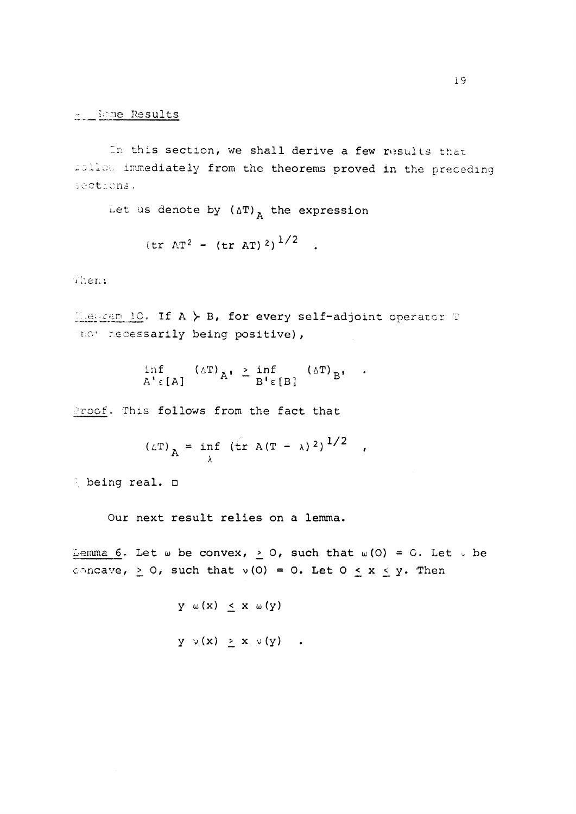In this section, we shall derive a few results that mollow immediately from the theorems proved in the preceding sections.

Let us denote by  $(\Delta T)_A$  the expression

$$
(tr \text{AT}^2 - (tr \text{AT})^2)^{1/2}
$$
.

Then;

T,e**^reiT!<sup>10</sup> ,** If A )- B, for every self-adjoint operator T and necessarily being positive),

 $\ddot{\phantom{a}}$ 

$$
\inf_{A^{\dagger} \in [A]} (\Delta T)_{A^{\dagger}} \geq \inf_{B^{\dagger} \in [B]} (\Delta T)_{B^{\dagger}}
$$

Proof. This follows from the fact that

$$
(\triangle T)_{A} = \inf_{\lambda} (\text{tr } A(T - \lambda)^{2})^{1/2},
$$

being real.  $\square$ 

Our next result relies on a lemma.

 $\frac{1}{2}$  emma 6. Let  $\omega$  be convex,  $\geq 0$ , such that  $\omega$  (0) = 0. Let  $\vee$  be concave,  $\geq$  0, such that v(0) = 0. Let 0  $\leq$  x  $\leq$  y. Then

$$
Y \circ (x) \leq x \circ (Y)
$$
  

$$
Y \circ (x) \geq x \circ (Y)
$$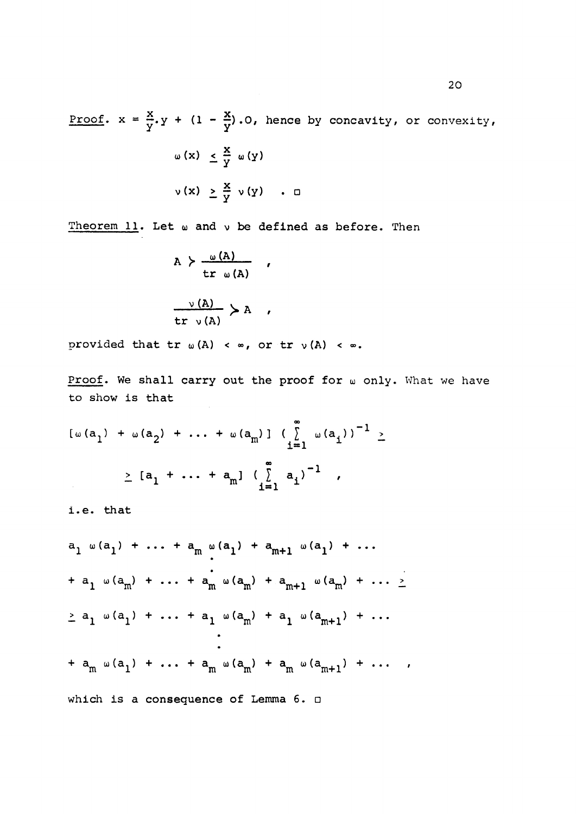$X = (1 - X)$  $\frac{1}{2}$   $\frac{1}{2}$   $\frac{1}{2}$   $\frac{1}{2}$   $\frac{1}{2}$   $\frac{1}{2}$   $\frac{1}{2}$   $\frac{1}{2}$   $\frac{1}{2}$   $\frac{1}{2}$   $\frac{1}{2}$   $\frac{1}{2}$   $\frac{1}{2}$   $\frac{1}{2}$   $\frac{1}{2}$   $\frac{1}{2}$   $\frac{1}{2}$   $\frac{1}{2}$   $\frac{1}{2}$   $\frac{1}{2}$   $\frac{1}{2}$   $\frac{1}{2}$   $\omega (x) \leq \frac{x}{y} \omega (y)$  $v(x) \geq \frac{x}{y} v(y)$  .  $\Box$ 

Theorem  $11$ . Let  $\omega$  and  $\nu$  be defined as before. Then

$$
A > \frac{\omega(A)}{\operatorname{tr} \omega(A)} ,
$$
  

$$
\frac{\nu(A)}{\operatorname{tr} \nu(A)} > A ,
$$

provided that  $tr_{\omega}(A) < \infty$ , or  $tr_{\nu}(A) < \infty$ .

Proof. We shall carry out the proof for  $\omega$  only. What we have to show is that

$$
[\omega(a_1) + \omega(a_2) + \dots + \omega(a_m)] \left(\sum_{i=1}^{m} \omega(a_i)\right)^{-1} \ge
$$
  
 
$$
\ge [a_1 + \dots + a_m] \left(\sum_{i=1}^{m} a_i\right)^{-1},
$$

i.e. that

$$
a_{1} \omega(a_{1}) + \cdots + a_{m} \omega(a_{1}) + a_{m+1} \omega(a_{1}) + \cdots
$$
  
+ 
$$
a_{1} \omega(a_{m}) + \cdots + a_{m} \omega(a_{m}) + a_{m+1} \omega(a_{m}) + \cdots \ge
$$
  

$$
\geq a_{1} \omega(a_{1}) + \cdots + a_{1} \omega(a_{m}) + a_{1} \omega(a_{m+1}) + \cdots
$$
  

$$
\vdots
$$
  
+ 
$$
a_{m} \omega(a_{1}) + \cdots + a_{m} \omega(a_{m}) + a_{m} \omega(a_{m+1}) + \cdots ,
$$
  
which is a consequence of Lemma 6.  $\square$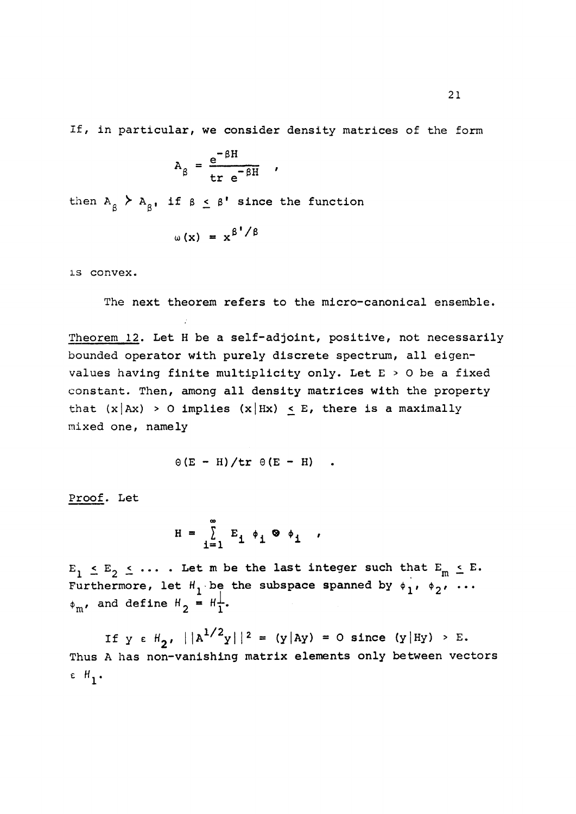If, in particular, we consider density matrices of the form

$$
A_{\beta} = \frac{e^{-\beta H}}{tr e^{-\beta H}} ,
$$

then  $A_{\alpha}$   $\geq$   $A_{\alpha}$ , if  $\beta$   $\leq$   $\beta$ <sup>'</sup> since the function P P —

$$
\omega(x) = x^{\beta'}/\beta
$$

is convex.

The next theorem refers to the micro-canonical ensemble.

Theorem 12. Let H be a self-adjoint, positive, not necessarily bounded operator with purely discrete spectrum, all eigenvalues having finite multiplicity only. Let E > 0 be a fixed constant. Then, among all density matrices with the property that  $(x|Ax) > 0$  implies  $(x|Hx) < E$ , there is a maximally mixed one, namely

$$
\Theta(E - H)/tr \Theta(E - H) .
$$

Proof. Let

$$
H = \sum_{i=1}^{\infty} E_i \phi_i \otimes \phi_i ,
$$

 $E_1 \leq E_2 \leq \ldots$ . Let m be the last integer such that  $E_m \leq E$ . Furthermore, let  $H_1$  be the subspace spanned by  $\phi_1$ ,  $\phi_2$ , ...  $\phi_{\rm m}$ , and define  $H_2 = H_1^{\perp}$ .

If y e  $H_2$ ,  $||A^{1/2}y||^2 = (y|Ay) = 0$  since  $(y|Hy) > E$ . Thus A has non-vanishing matrix elements only between vectors  $\varepsilon$   $H_1$ .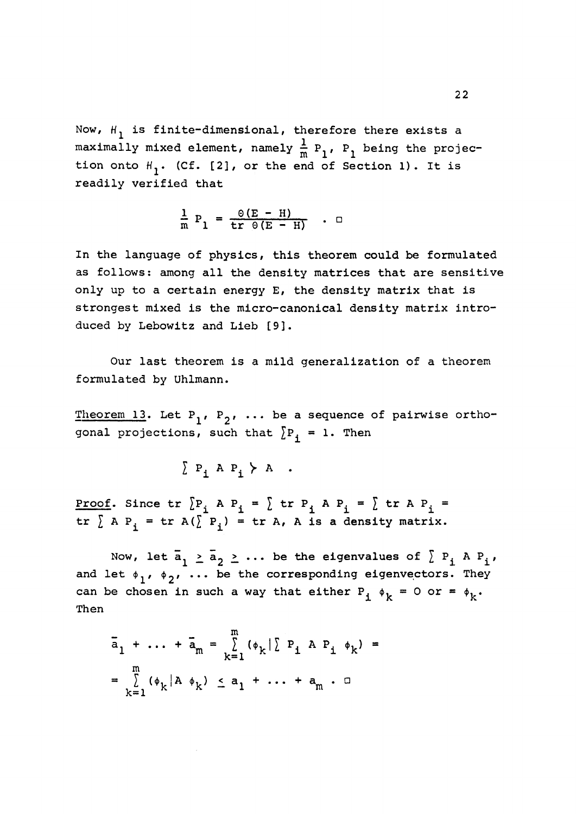Now,  $H_1$  is finite-dimensional, therefore there exists a maximally mixed element, namely  $\frac{1}{m}$   $P_1$ ,  $P_1$  being the projection onto  $H_1$ . (Cf. [2], or the end of Section 1). It is readily verified that

$$
\frac{1}{m} P_1 = \frac{\Theta(E - H)}{\text{tr } \Theta(E - H)} \quad . \quad \Box
$$

In the language of physics, this theorem could be formulated as follows: among all the density matrices that are sensitive only up to a certain energy E, the density matrix that is strongest mixed is the micro-canonical density matrix introduced by Lebowitz and Lieb [9].

Our last theorem is a mild generalization of a theorem formulated by Uhlmann.

Theorem 13. Let  $P_1$ ,  $P_2$ , ... be a sequence of pairwise orthogonal projections, such that  $\sum P_i = 1$ . Then

$$
\sum P_i A P_i \succ A .
$$

<u>Proof</u>. Since  $tr \{P_i \land P_j = \} tr P_j \land P_i = \} tr A P_i =$  $tr \sum A P_i = tr A(\sum P_i) = tr A$ , A is a density matrix.

Now, let  $\bar{a}_1 \ge \bar{a}_2 \ge \ldots$  be the eigenvalues of  $\sum P_i$  A  $P_i$ , and let  $\phi_1$ ,  $\phi_2$ , ... be the corresponding eigenvectors. They can be chosen in such a way that either  $P_i \phi_k = 0$  or =  $\phi_k$ . Then

$$
\bar{a}_{1} + \dots + \bar{a}_{m} = \sum_{k=1}^{m} (\phi_{k} | \sum P_{i} A P_{i} \phi_{k}) =
$$
  
= 
$$
\sum_{k=1}^{m} (\phi_{k} | A \phi_{k}) \leq a_{1} + \dots + a_{m} \cdot \square
$$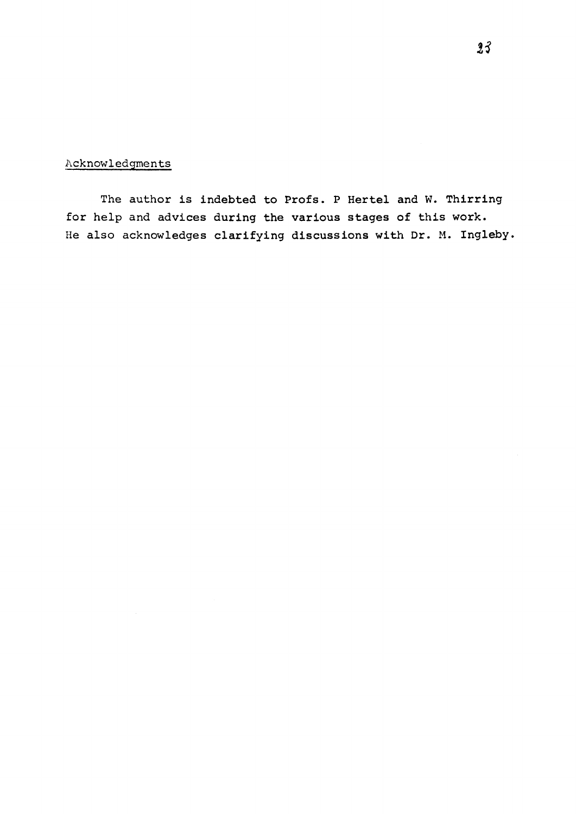### Acknowledgments

The author is indebted to Profs. P Hertel and W. Thirring for help and advices during the various stages of this work. He also acknowledges clarifying discussions with Dr. M. Ingleby.